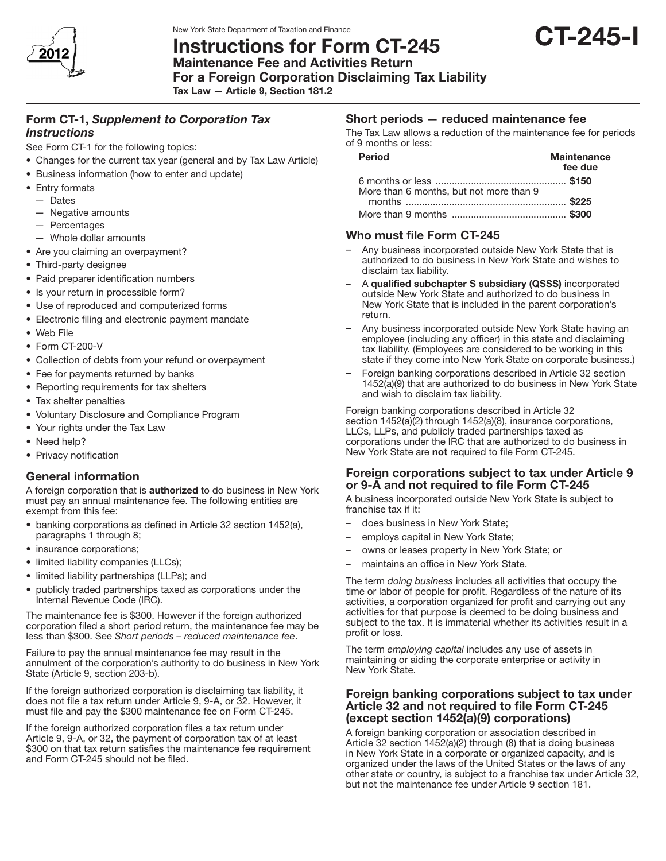

# New York State Department of Taxation and Finance<br>Instructions for Form CT-245 CT-245

Maintenance Fee and Activities Return For a Foreign Corporation Disclaiming Tax Liability

Tax Law — Article 9, Section 181.2

# Form CT-1, *Supplement to Corporation Tax Instructions*

See Form CT-1 for the following topics:

- Changes for the current tax year (general and by Tax Law Article)
- Business information (how to enter and update)
- Entry formats
	- Dates
	- Negative amounts
	- Percentages
	- Whole dollar amounts
- Are you claiming an overpayment?
- Third-party designee
- Paid preparer identification numbers
- Is your return in processible form?
- Use of reproduced and computerized forms
- Electronic filing and electronic payment mandate
- • Web File
- Form CT-200-V
- Collection of debts from your refund or overpayment
- Fee for payments returned by banks
- Reporting requirements for tax shelters
- Tax shelter penalties
- • Voluntary Disclosure and Compliance Program
- Your rights under the Tax Law
- Need help?
- Privacy notification

# General information

A foreign corporation that is authorized to do business in New York must pay an annual maintenance fee. The following entities are exempt from this fee:

- banking corporations as defined in Article 32 section 1452(a), paragraphs 1 through 8;
- insurance corporations;
- limited liability companies (LLCs);
- limited liability partnerships (LLPs); and
- publicly traded partnerships taxed as corporations under the Internal Revenue Code (IRC).

The maintenance fee is \$300. However if the foreign authorized corporation filed a short period return, the maintenance fee may be less than \$300. See *Short periods – reduced maintenance fee*.

Failure to pay the annual maintenance fee may result in the annulment of the corporation's authority to do business in New York State (Article 9, section 203-b).

If the foreign authorized corporation is disclaiming tax liability, it does not file a tax return under Article 9, 9-A, or 32. However, it must file and pay the \$300 maintenance fee on Form CT-245.

If the foreign authorized corporation files a tax return under Article 9, 9-A, or 32, the payment of corporation tax of at least \$300 on that tax return satisfies the maintenance fee requirement and Form CT-245 should not be filed.

# Short periods — reduced maintenance fee

The Tax Law allows a reduction of the maintenance fee for periods of 9 months or less:

| <b>Period</b>                           | <b>Maintenance</b><br>fee due |
|-----------------------------------------|-------------------------------|
| More than 6 months, but not more than 9 |                               |
|                                         |                               |
|                                         |                               |

## Who must file Form CT-245

- Any business incorporated outside New York State that is authorized to do business in New York State and wishes to disclaim tax liability.
- A qualified subchapter S subsidiary (QSSS) incorporated outside New York State and authorized to do business in New York State that is included in the parent corporation's return.
- Any business incorporated outside New York State having an employee (including any officer) in this state and disclaiming tax liability. (Employees are considered to be working in this state if they come into New York State on corporate business.)
- Foreign banking corporations described in Article 32 section 1452(a)(9) that are authorized to do business in New York State and wish to disclaim tax liability.

Foreign banking corporations described in Article 32 section 1452(a)(2) through 1452(a)(8), insurance corporations, LLCs, LLPs, and publicly traded partnerships taxed as corporations under the IRC that are authorized to do business in New York State are not required to file Form CT-245.

## Foreign corporations subject to tax under Article 9 or 9-A and not required to file Form CT-245

A business incorporated outside New York State is subject to franchise tax if it:

- does business in New York State;
- employs capital in New York State;
- owns or leases property in New York State; or
- maintains an office in New York State.

The term *doing business* includes all activities that occupy the time or labor of people for profit. Regardless of the nature of its activities, a corporation organized for profit and carrying out any activities for that purpose is deemed to be doing business and subject to the tax. It is immaterial whether its activities result in a profit or loss.

The term *employing capital* includes any use of assets in maintaining or aiding the corporate enterprise or activity in New York State.

## Foreign banking corporations subject to tax under Article 32 and not required to file Form CT-245 (except section 1452(a)(9) corporations)

A foreign banking corporation or association described in Article 32 section 1452(a)(2) through (8) that is doing business in New York State in a corporate or organized capacity, and is organized under the laws of the United States or the laws of any other state or country, is subject to a franchise tax under Article 32, but not the maintenance fee under Article 9 section 181.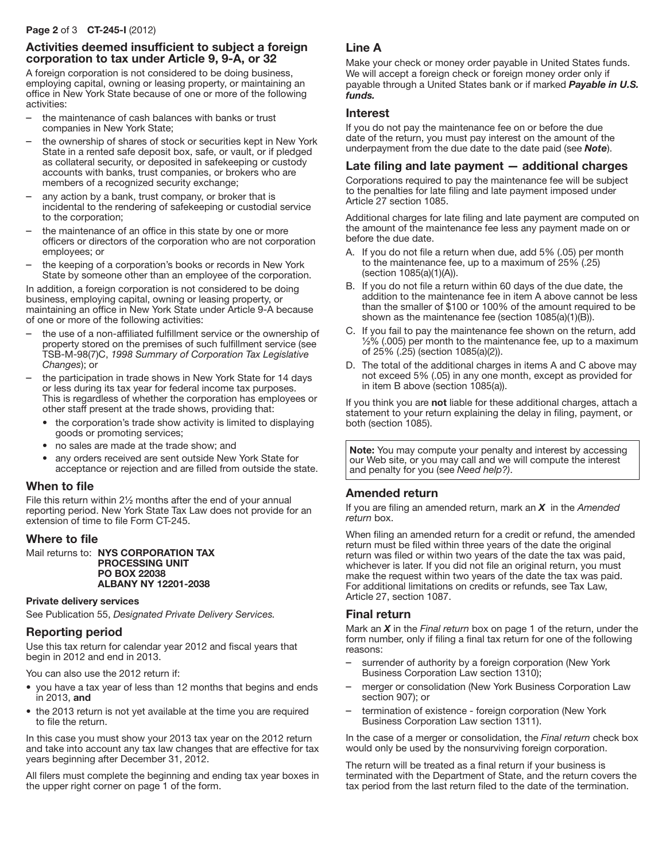#### Page 2 of 3 CT-245-I (2012)

## Activities deemed insufficient to subject a foreign corporation to tax under Article 9, 9-A, or 32

A foreign corporation is not considered to be doing business, employing capital, owning or leasing property, or maintaining an office in New York State because of one or more of the following activities:

- the maintenance of cash balances with banks or trust companies in New York State;
- the ownership of shares of stock or securities kept in New York State in a rented safe deposit box, safe, or vault, or if pledged as collateral security, or deposited in safekeeping or custody accounts with banks, trust companies, or brokers who are members of a recognized security exchange;
- any action by a bank, trust company, or broker that is incidental to the rendering of safekeeping or custodial service to the corporation;
- the maintenance of an office in this state by one or more officers or directors of the corporation who are not corporation employees; or
- the keeping of a corporation's books or records in New York State by someone other than an employee of the corporation.

In addition, a foreign corporation is not considered to be doing business, employing capital, owning or leasing property, or maintaining an office in New York State under Article 9-A because of one or more of the following activities:

- the use of a non-affiliated fulfillment service or the ownership of property stored on the premises of such fulfillment service (see TSB-M-98(7)C, *1998 Summary of Corporation Tax Legislative Changes*); or
- the participation in trade shows in New York State for 14 days or less during its tax year for federal income tax purposes. This is regardless of whether the corporation has employees or other staff present at the trade shows, providing that:
	- the corporation's trade show activity is limited to displaying goods or promoting services;
	- no sales are made at the trade show; and
	- any orders received are sent outside New York State for acceptance or rejection and are filled from outside the state.

## When to file

File this return within 2½ months after the end of your annual reporting period. New York State Tax Law does not provide for an extension of time to file Form CT-245.

#### Where to file

Mail returns to: NYS CORPORATION TAX PROCESSING UNIT PO BOX 22038 ALBANY NY 12201-2038

#### Private delivery services

See Publication 55, *Designated Private Delivery Services.*

## Reporting period

Use this tax return for calendar year 2012 and fiscal years that begin in 2012 and end in 2013.

You can also use the 2012 return if:

- you have a tax year of less than 12 months that begins and ends in 2013, and
- the 2013 return is not yet available at the time you are required to file the return.

In this case you must show your 2013 tax year on the 2012 return and take into account any tax law changes that are effective for tax years beginning after December 31, 2012.

All filers must complete the beginning and ending tax year boxes in the upper right corner on page 1 of the form.

## Line A

Make your check or money order payable in United States funds. We will accept a foreign check or foreign money order only if payable through a United States bank or if marked *Payable in U.S. funds.*

#### Interest

If you do not pay the maintenance fee on or before the due date of the return, you must pay interest on the amount of the underpayment from the due date to the date paid (see *Note*).

## Late filing and late payment — additional charges

Corporations required to pay the maintenance fee will be subject to the penalties for late filing and late payment imposed under Article 27 section 1085.

Additional charges for late filing and late payment are computed on the amount of the maintenance fee less any payment made on or before the due date.

- A. If you do not file a return when due, add 5% (.05) per month to the maintenance fee, up to a maximum of 25% (.25) (section 1085(a)(1)(A)).
- B. If you do not file a return within 60 days of the due date, the addition to the maintenance fee in item A above cannot be less than the smaller of \$100 or 100% of the amount required to be shown as the maintenance fee (section 1085(a)(1)(B)).
- C. If you fail to pay the maintenance fee shown on the return, add ½% (.005) per month to the maintenance fee, up to a maximum of 25% (.25) (section 1085(a)(2)).
- D. The total of the additional charges in items A and C above may not exceed 5% (.05) in any one month, except as provided for in item B above (section 1085(a)).

If you think you are not liable for these additional charges, attach a statement to your return explaining the delay in filing, payment, or both (section 1085).

Note: You may compute your penalty and interest by accessing our Web site, or you may call and we will compute the interest and penalty for you (see *Need help?)*.

## Amended return

If you are filing an amended return, mark an *X* in the *Amended return* box.

When filing an amended return for a credit or refund, the amended return must be filed within three years of the date the original return was filed or within two years of the date the tax was paid, whichever is later. If you did not file an original return, you must make the request within two years of the date the tax was paid. For additional limitations on credits or refunds, see Tax Law, Article 27, section 1087.

## Final return

Mark an *X* in the *Final return* box on page 1 of the return, under the form number, only if filing a final tax return for one of the following reasons:

- surrender of authority by a foreign corporation (New York Business Corporation Law section 1310);
- merger or consolidation (New York Business Corporation Law section 907); or
- termination of existence foreign corporation (New York Business Corporation Law section 1311).

In the case of a merger or consolidation, the *Final return* check box would only be used by the nonsurviving foreign corporation.

The return will be treated as a final return if your business is terminated with the Department of State, and the return covers the tax period from the last return filed to the date of the termination.